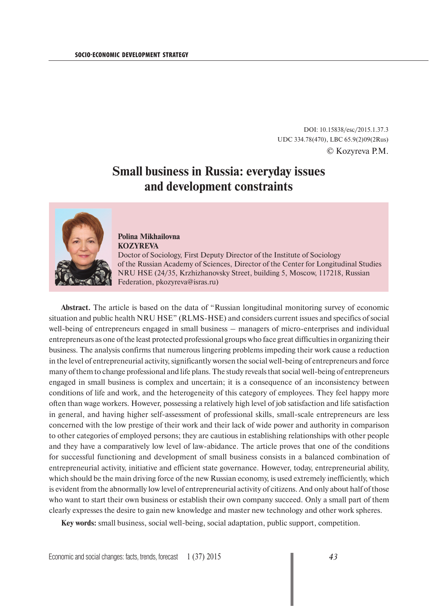DOI: 10.15838/esc/2015.1.37.3 UDC 334.78(470), LBC 65.9(2)09(2Rus) © Kozyreva P.M.

## **Small business in Russia: everyday issues and development constraints**



## **Polina Mikhailovna KOZYREVA**

Doctor of Sociology, First Deputy Director of the Institute of Sociology of the Russian Academy of Sciences, Director of the Center for Longitudinal Studies NRU HSE (24/35, Krzhizhanovsky Street, building 5, Moscow, 117218, Russian Federation, pkozyreva@isras.ru)

**Abstract.** The article is based on the data of "Russian longitudinal monitoring survey of economic situation and public health NRU HSE" (RLMS-HSE) and considers current issues and specifics of social well-being of entrepreneurs engaged in small business – managers of micro-enterprises and individual entrepreneurs as one of the least protected professional groups who face great difficulties in organizing their business. The analysis confirms that numerous lingering problems impeding their work cause a reduction in the level of entrepreneurial activity, significantly worsen the social well-being of entrepreneurs and force many of them to change professional and life plans. The study reveals that social well-being of entrepreneurs engaged in small business is complex and uncertain; it is a consequence of an inconsistency between conditions of life and work, and the heterogeneity of this category of employees. They feel happy more often than wage workers. However, possessing a relatively high level of job satisfaction and life satisfaction in general, and having higher self-assessment of professional skills, small-scale entrepreneurs are less concerned with the low prestige of their work and their lack of wide power and authority in comparison to other categories of employed persons; they are cautious in establishing relationships with other people and they have a comparatively low level of law-abidance. The article proves that one of the conditions for successful functioning and development of small business consists in a balanced combination of entrepreneurial activity, initiative and efficient state governance. However, today, entrepreneurial ability, which should be the main driving force of the new Russian economy, is used extremely inefficiently, which is evident from the abnormally low level of entrepreneurial activity of citizens. And only about half of those who want to start their own business or establish their own company succeed. Only a small part of them clearly expresses the desire to gain new knowledge and master new technology and other work spheres.

**Key words:** small business, social well-being, social adaptation, public support, competition.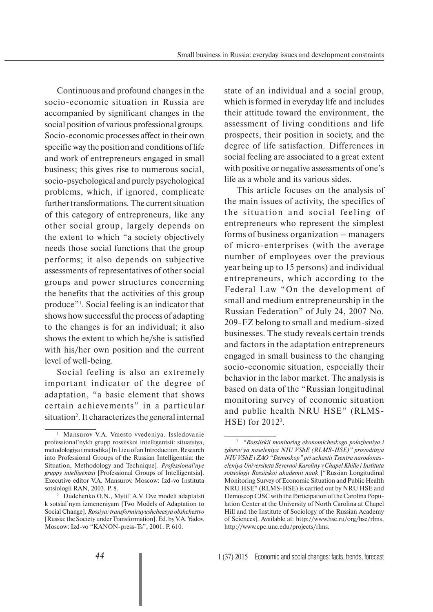Continuous and profound changes in the socio-economic situation in Russia are accompanied by significant changes in the social position of various professional groups. Socio-economic processes affect in their own specific way the position and conditions of life and work of entrepreneurs engaged in small business; this gives rise to numerous social, socio-psychological and purely psychological problems, which, if ignored, complicate further transformations. The current situation of this category of entrepreneurs, like any other social group, largely depends on the extent to which "a society objectively needs those social functions that the group performs; it also depends on subjective assessments of representatives of other social groups and power structures concerning the benefits that the activities of this group produce"1 . Social feeling is an indicator that shows how successful the process of adapting to the changes is for an individual; it also shows the extent to which he/she is satisfied with his/her own position and the current level of well-being.

Social feeling is also an extremely important indicator of the degree of adaptation, "a basic element that shows certain achievements" in a particular situation<sup>2</sup>. It characterizes the general internal

state of an individual and a social group, which is formed in everyday life and includes their attitude toward the environment, the assessment of living conditions and life prospects, their position in society, and the degree of life satisfaction. Differences in social feeling are associated to a great extent with positive or negative assessments of one's life as a whole and its various sides.

This article focuses on the analysis of the main issues of activity, the specifics of the situation and social feeling of entrepreneurs who represent the simplest forms of business organization – managers of micro-enterprises (with the average number of employees over the previous year being up to 15 persons) and individual entrepreneurs, which according to the Federal Law "On the development of small and medium entrepreneurship in the Russian Federation" of July 24, 2007 No. 209-FZ belong to small and medium-sized businesses. The study reveals certain trends and factors in the adaptation entrepreneurs engaged in small business to the changing socio-economic situation, especially their behavior in the labor market. The analysis is based on data of the "Russian longitudinal monitoring survey of economic situation and public health NRU HSE" (RLMS-HSE) for 20123 .

<sup>1</sup> Mansurov V.A. Vmesto vvedeniya. Issledovanie professional'nykh grupp rossiiskoi intelligentsii: situatsiya, metodologiya i metodika [In Lieu of an Introduction. Research into Professional Groups of the Russian Intelligentsia: the Situation, Methodology and Technique]. *Professional'nye gruppy intelligentsii* [Professional Groups of Intelligentsia]. Executive editor V.A. Mansurov. Moscow: Izd-vo Instituta sotsiologii RAN, 2003. P. 8.

<sup>2</sup> Dudchenko O.N., Mytil' A.V. Dve modeli adaptatsii k sotsial'nym izmeneniyam [Two Models of Adaptation to Social Change]. *Rossiya: transformiruyushcheesya obshchestvo*  [Russia: the Society under Transformation]. Ed. by V.A. Yadov. Moscow: Izd-vo "KANON-press-Ts", 2001. P. 610.

<sup>3</sup> *"Rossiiskii monitoring ekonomicheskogo polozheniya i zdorov'ya naseleniya NIU VShE (RLMS-HSE)" provoditsya NIU VShE i ZAO "Demoskop" pri uchastii Tsentra narodonaseleniya Universiteta Severnoi Karoliny v Chapel Khille i Instituta sotsiologii Rossiiskoi akademii nauk* ["Russian Longitudinal Monitoring Survey of Economic Situation and Public Health NRU HSE" (RLMS-HSE) is carried out by NRU HSE and Demoscop CJSC with the Participation of the Carolina Population Center at the University of North Carolina at Chapel Hill and the Institute of Sociology of the Russian Academy of Sciences]. Available at: http://www.hse.ru/org/hse/rlms, http://www.cpc.unc.edu/projects/rlms.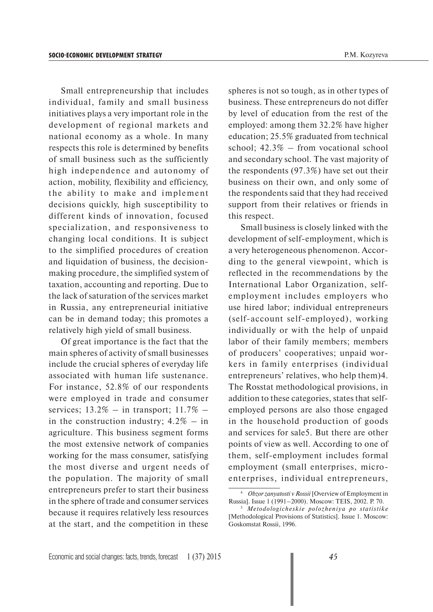Small entrepreneurship that includes individual, family and small business initiatives plays a very important role in the development of regional markets and national economy as a whole. In many respects this role is determined by benefits of small business such as the sufficiently high independence and autonomy of action, mobility, flexibility and efficiency, the ability to make and implement decisions quickly, high susceptibility to different kinds of innovation, focused specialization, and responsiveness to changing local conditions. It is subject to the simplified procedures of creation and liquidation of business, the decisionmaking procedure, the simplified system of taxation, accounting and reporting. Due to the lack of saturation of the services market in Russia, any entrepreneurial initiative can be in demand today; this promotes a relatively high yield of small business.

Of great importance is the fact that the main spheres of activity of small businesses include the crucial spheres of everyday life associated with human life sustenance. For instance, 52.8% of our respondents were employed in trade and consumer services;  $13.2\%$  – in transport;  $11.7\%$  – in the construction industry;  $4.2\%$  – in agriculture. This business segment forms the most extensive network of companies working for the mass consumer, satisfying the most diverse and urgent needs of the population. The majority of small entrepreneurs prefer to start their business in the sphere of trade and consumer services because it requires relatively less resources at the start, and the competition in these

spheres is not so tough, as in other types of business. These entrepreneurs do not differ by level of education from the rest of the employed: among them 32.2% have higher education; 25.5% graduated from technical school; 42.3% – from vocational school and secondary school. The vast majority of the respondents (97.3%) have set out their business on their own, and only some of the respondents said that they had received support from their relatives or friends in this respect.

Small business is closely linked with the development of self-employment, which is a very heterogeneous phenomenon. According to the general viewpoint, which is reflected in the recommendations by the International Labor Organization, selfemployment includes employers who use hired labor; individual entrepreneurs (self-account self-employed), working individually or with the help of unpaid labor of their family members; members of producers' cooperatives; unpaid workers in family enterprises (individual entrepreneurs' relatives, who help them)4. The Rosstat methodological provisions, in addition to these categories, states that selfemployed persons are also those engaged in the household production of goods and services for sale5. But there are other points of view as well. According to one of them, self-employment includes formal employment (small enterprises, microenterprises, individual entrepreneurs,

<sup>4</sup> *Obzor zanyatosti v Rossii* [Overview of Employment in Russia]. Issue 1 (1991–2000). Moscow: TEIS, 2002. P. 70.

<sup>5</sup>  *Metodologicheskie polozheniya po statistike*  [Methodological Provisions of Statistics]. Issue 1. Moscow: Goskomstat Rossii, 1996.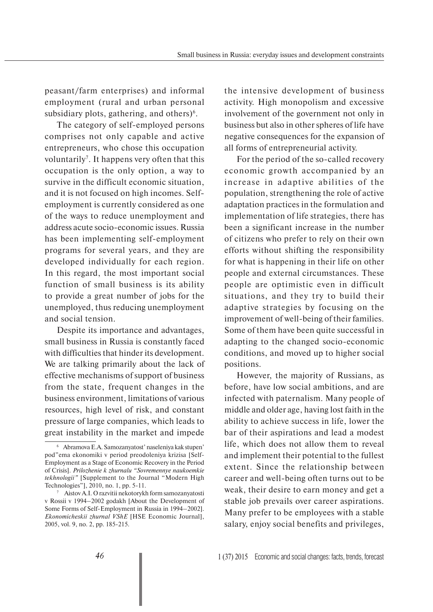peasant/farm enterprises) and informal employment (rural and urban personal subsidiary plots, gathering, and others $)^6$ .

The category of self-employed persons comprises not only capable and active entrepreneurs, who chose this occupation voluntarily<sup>7</sup>. It happens very often that this occupation is the only option, a way to survive in the difficult economic situation, and it is not focused on high incomes. Selfemployment is currently considered as one of the ways to reduce unemployment and address acute socio-economic issues. Russia has been implementing self-employment programs for several years, and they are developed individually for each region. In this regard, the most important social function of small business is its ability to provide a great number of jobs for the unemployed, thus reducing unemployment and social tension.

Despite its importance and advantages, small business in Russia is constantly faced with difficulties that hinder its development. We are talking primarily about the lack of effective mechanisms of support of business from the state, frequent changes in the business environment, limitations of various resources, high level of risk, and constant pressure of large companies, which leads to great instability in the market and impede

the intensive development of business activity. High monopolism and excessive involvement of the government not only in business but also in other spheres of life have negative consequences for the expansion of all forms of entrepreneurial activity.

For the period of the so-called recovery economic growth accompanied by an increase in adaptive abilities of the population, strengthening the role of active adaptation practices in the formulation and implementation of life strategies, there has been a significant increase in the number of citizens who prefer to rely on their own efforts without shifting the responsibility for what is happening in their life on other people and external circumstances. These people are optimistic even in difficult situations, and they try to build their adaptive strategies by focusing on the improvement of well-being of their families. Some of them have been quite successful in adapting to the changed socio-economic conditions, and moved up to higher social positions.

However, the majority of Russians, as before, have low social ambitions, and are infected with paternalism. Many people of middle and older age, having lost faith in the ability to achieve success in life, lower the bar of their aspirations and lead a modest life, which does not allow them to reveal and implement their potential to the fullest extent. Since the relationship between career and well-being often turns out to be weak, their desire to earn money and get a stable job prevails over career aspirations. Many prefer to be employees with a stable salary, enjoy social benefits and privileges,

<sup>6</sup> Abramova E.A. Samozanyatost' naseleniya kak stupen' pod"ema ekonomiki v period preodoleniya krizisa [Self-Employment as a Stage of Economic Recovery in the Period of Crisis]. *Prilozhenie k zhurnalu "Sovremennye naukoemkie tekhnologii"* [Supplement to the Journal "Modern High Technologies"], 2010, no. 1, pp. 5-11.

<sup>7</sup> Aistov A.I. O razvitii nekotorykh form samozanyatosti v Rossii v 1994–2002 godakh [About the Development of Some Forms of Self-Employment in Russia in 1994–2002]. *Ekonomicheskii zhurnal VShE* [HSE Economic Journal], 2005, vol. 9, no. 2, pp. 185-215.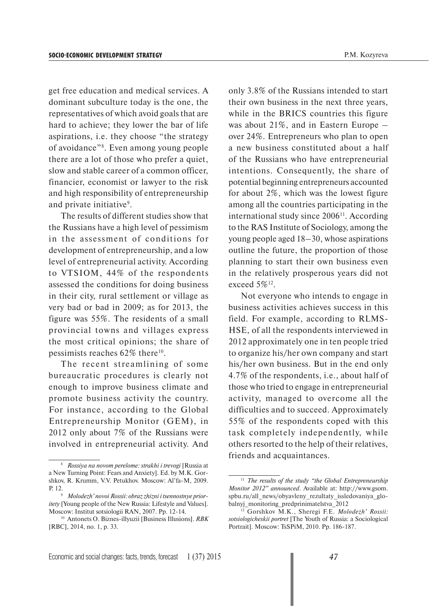get free education and medical services. A dominant subculture today is the one, the representatives of which avoid goals that are hard to achieve; they lower the bar of life aspirations, i.e. they choose "the strategy of avoidance"8 . Even among young people there are a lot of those who prefer a quiet, slow and stable career of a common officer, financier, economist or lawyer to the risk and high responsibility of entrepreneurship and private initiative<sup>9</sup>.

The results of different studies show that the Russians have a high level of pessimism in the assessment of conditions for development of entrepreneurship, and a low level of entrepreneurial activity. According to VTSIOM, 44% of the respondents assessed the conditions for doing business in their city, rural settlement or village as very bad or bad in 2009; as for 2013, the figure was 55%. The residents of a small provincial towns and villages express the most critical opinions; the share of pessimists reaches  $62\%$  there<sup>10</sup>.

The recent streamlining of some bureaucratic procedures is clearly not enough to improve business climate and promote business activity the country. For instance, according to the Global Entrepreneurship Monitor (GEM), in 2012 only about 7% of the Russians were involved in entrepreneurial activity. And only 3.8% of the Russians intended to start their own business in the next three years, while in the BRICS countries this figure was about 21%, and in Eastern Europe – over 24%. Entrepreneurs who plan to open a new business constituted about a half of the Russians who have entrepreneurial intentions. Consequently, the share of potential beginning entrepreneurs accounted for about 2%, which was the lowest figure among all the countries participating in the international study since  $2006<sup>11</sup>$ . According to the RAS Institute of Sociology, among the young people aged 18–30, whose aspirations outline the future, the proportion of those planning to start their own business even in the relatively prosperous years did not exceed 5%<sup>12</sup>.

Not everyone who intends to engage in business activities achieves success in this field. For example, according to RLMS-HSE, of all the respondents interviewed in 2012 approximately one in ten people tried to organize his/her own company and start his/her own business. But in the end only 4.7% of the respondents, i.e., about half of those who tried to engage in entrepreneurial activity, managed to overcome all the difficulties and to succeed. Approximately 55% of the respondents coped with this task completely independently, while others resorted to the help of their relatives, friends and acquaintances.

<sup>8</sup>  *Rossiya na novom perelome: strakhi i trevogi* [Russia at a New Turning Point: Fears and Anxiety]. Ed. by M.K. Gorshkov, R. Krumm, V.V. Petukhov. Moscow: Al'fa-M, 2009. P. 12.

*Molodezh' novoi Rossii: obraz zhizni i tsennostnye prioritety* [Young people of the New Russia: Lifestyle and Values]. Moscow: Institut sotsiologii RAN, 2007. Pp. 12-14.

<sup>10</sup> Antonets O. Biznes-illyuzii [Business Illusions]. *RBK* [RBC], 2014, no. 1, p. 33.

<sup>11</sup> *The results of the study "the Global Entrepreneurship Monitor 2012" announced*. Available at: http://www.gsom. spbu.ru/all\_news/obyavleny\_rezultaty\_issledovaniya\_globalnyj\_monitoring\_predprinimatelstva\_2012

<sup>12</sup> Gorshkov M.K., Sheregi F.E. *Molodezh' Rossii: sotsiologicheskii portret* [The Youth of Russia: a Sociological Portrait]. Moscow: TsSPiM, 2010. Pp. 186-187.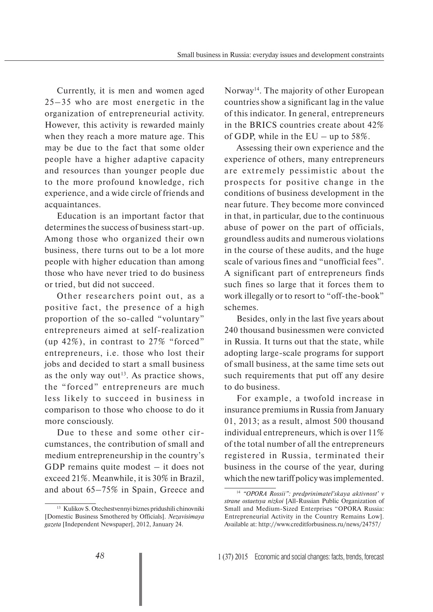Currently, it is men and women aged 25–35 who are most energetic in the organization of entrepreneurial activity. However, this activity is rewarded mainly when they reach a more mature age. This may be due to the fact that some older people have a higher adaptive capacity and resources than younger people due to the more profound knowledge, rich experience, and a wide circle of friends and acquaintances.

Education is an important factor that determines the success of business start-up. Among those who organized their own business, there turns out to be a lot more people with higher education than among those who have never tried to do business or tried, but did not succeed.

Other researchers point out, as a positive fact, the presence of a high proportion of the so-called "voluntary" entrepreneurs aimed at self-realization (up 42%), in contrast to 27% "forced" entrepreneurs, i.e. those who lost their jobs and decided to start a small business as the only way out<sup>13</sup>. As practice shows, the "forced" entrepreneurs are much less likely to succeed in business in comparison to those who choose to do it more consciously.

Due to these and some other circumstances, the contribution of small and medium entrepreneurship in the country's GDP remains quite modest – it does not exceed 21%. Meanwhile, it is 30% in Brazil, and about 65–75% in Spain, Greece and

Norway<sup>14</sup>. The majority of other European countries show a significant lag in the value of this indicator. In general, entrepreneurs in the BRICS countries create about 42% of GDP, while in the  $EU - up$  to 58%.

Assessing their own experience and the experience of others, many entrepreneurs are extremely pessimistic about the prospects for positive change in the conditions of business development in the near future. They become more convinced in that, in particular, due to the continuous abuse of power on the part of officials, groundless audits and numerous violations in the course of these audits, and the huge scale of various fines and "unofficial fees". A significant part of entrepreneurs finds such fines so large that it forces them to work illegally or to resort to "off-the-book" schemes.

Besides, only in the last five years about 240 thousand businessmen were convicted in Russia. It turns out that the state, while adopting large-scale programs for support of small business, at the same time sets out such requirements that put off any desire to do business.

For example, a twofold increase in insurance premiums in Russia from January 01, 2013; as a result, almost 500 thousand individual entrepreneurs, which is over 11% of the total number of all the entrepreneurs registered in Russia, terminated their business in the course of the year, during which the new tariff policy was implemented.

<sup>13</sup> Kulikov S. Otechestvennyi biznes pridushili chinovniki [Domestic Business Smothered by Officials]. *Nezavisimaya gazeta* [Independent Newspaper], 2012, January 24.

<sup>14</sup> *"OPORA Rossii": predprinimatel'skaya aktivnost' v strane ostaetsya nizkoi* [All-Russian Public Organization of Small and Medium-Sized Enterprises "OPORA Russia: Entrepreneurial Activity in the Country Remains Low]. Available at: http://www.creditforbusiness.ru/news/24757/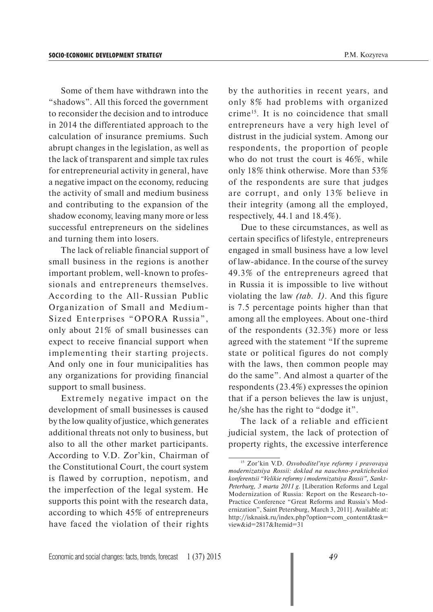Some of them have withdrawn into the "shadows". All this forced the government to reconsider the decision and to introduce in 2014 the differentiated approach to the calculation of insurance premiums. Such abrupt changes in the legislation, as well as the lack of transparent and simple tax rules for entrepreneurial activity in general, have a negative impact on the economy, reducing the activity of small and medium business and contributing to the expansion of the shadow economy, leaving many more or less successful entrepreneurs on the sidelines and turning them into losers.

The lack of reliable financial support of small business in the regions is another important problem, well-known to professionals and entrepreneurs themselves. According to the All-Russian Public Organization of Small and Medium-Sized Enterprises "OPORA Russia", only about 21% of small businesses can expect to receive financial support when implementing their starting projects. And only one in four municipalities has any organizations for providing financial support to small business.

Extremely negative impact on the development of small businesses is caused by the low quality of justice, which generates additional threats not only to business, but also to all the other market participants. According to V.D. Zor'kin, Chairman of the Constitutional Court, the court system is flawed by corruption, nepotism, and the imperfection of the legal system. He supports this point with the research data, according to which 45% of entrepreneurs have faced the violation of their rights

by the authorities in recent years, and only 8% had problems with organized crime15. It is no coincidence that small entrepreneurs have a very high level of distrust in the judicial system. Among our respondents, the proportion of people who do not trust the court is 46%, while only 18% think otherwise. More than 53% of the respondents are sure that judges are corrupt, and only 13% believe in their integrity (among all the employed, respectively, 44.1 and 18.4%).

Due to these circumstances, as well as certain specifics of lifestyle, entrepreneurs engaged in small business have a low level of law-abidance. In the course of the survey 49.3% of the entrepreneurs agreed that in Russia it is impossible to live without violating the law *(tab. 1)*. And this figure is 7.5 percentage points higher than that among all the employees. About one-third of the respondents (32.3%) more or less agreed with the statement "If the supreme state or political figures do not comply with the laws, then common people may do the same". And almost a quarter of the respondents (23.4%) expresses the opinion that if a person believes the law is unjust, he/she has the right to "dodge it".

The lack of a reliable and efficient judicial system, the lack of protection of property rights, the excessive interference

<sup>15</sup> Zor'kin V.D. *Osvoboditel'nye reformy i pravovaya modernizatsiya Rossii: doklad na nauchno-prakticheskoi konferentsii "Velikie reformy i modernizatsiya Rossii", Sankt-Peterburg, 3 marta 2011 g*. [Liberation Reforms and Legal Modernization of Russia: Report on the Research-to-Practice Conference "Great Reforms and Russia's Modernization", Saint Petersburg, March 3, 2011]. Available at: http://isknaisk.ru/index.php?option=com\_content&task= view&id=2817&Itemid=31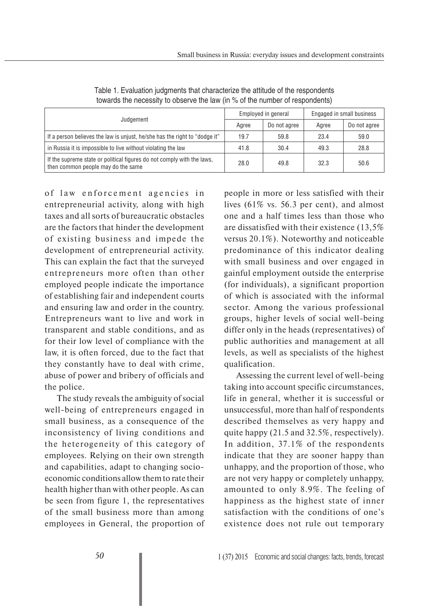| Judgement                                                                                                    | Employed in general |              | Engaged in small business |              |
|--------------------------------------------------------------------------------------------------------------|---------------------|--------------|---------------------------|--------------|
|                                                                                                              | Agree               | Do not agree | Agree                     | Do not agree |
| If a person believes the law is unjust, he/she has the right to "dodge it"                                   | 19.7                | 59.8         | 23.4                      | 59.0         |
| in Russia it is impossible to live without violating the law                                                 | 41.8                | 30.4         | 49.3                      | 28.8         |
| If the supreme state or political figures do not comply with the laws,<br>then common people may do the same | 28.0                | 49.8         | 32.3                      | 50.6         |

Table 1. Evaluation judgments that characterize the attitude of the respondents towards the necessity to observe the law (in % of the number of respondents)

of law enforcement agencies in entrepreneurial activity, along with high taxes and all sorts of bureaucratic obstacles are the factors that hinder the development of existing business and impede the development of entrepreneurial activity. This can explain the fact that the surveyed entrepreneurs more often than other employed people indicate the importance of establishing fair and independent courts and ensuring law and order in the country. Entrepreneurs want to live and work in transparent and stable conditions, and as for their low level of compliance with the law, it is often forced, due to the fact that they constantly have to deal with crime, abuse of power and bribery of officials and the police.

The study reveals the ambiguity of social well-being of entrepreneurs engaged in small business, as a consequence of the inconsistency of living conditions and the heterogeneity of this category of employees. Relying on their own strength and capabilities, adapt to changing socioeconomic conditions allow them to rate their health higher than with other people. As can be seen from figure 1, the representatives of the small business more than among employees in General, the proportion of people in more or less satisfied with their lives (61% vs. 56.3 per cent), and almost one and a half times less than those who are dissatisfied with their existence (13,5% versus 20.1%). Noteworthy and noticeable predominance of this indicator dealing with small business and over engaged in gainful employment outside the enterprise (for individuals), a significant proportion of which is associated with the informal sector. Among the various professional groups, higher levels of social well-being differ only in the heads (representatives) of public authorities and management at all levels, as well as specialists of the highest qualification.

Assessing the current level of well-being taking into account specific circumstances, life in general, whether it is successful or unsuccessful, more than half of respondents described themselves as very happy and quite happy (21.5 and 32.5%, respectively). In addition, 37.1% of the respondents indicate that they are sooner happy than unhappy, and the proportion of those, who are not very happy or completely unhappy, amounted to only 8.9%. The feeling of happiness as the highest state of inner satisfaction with the conditions of one's existence does not rule out temporary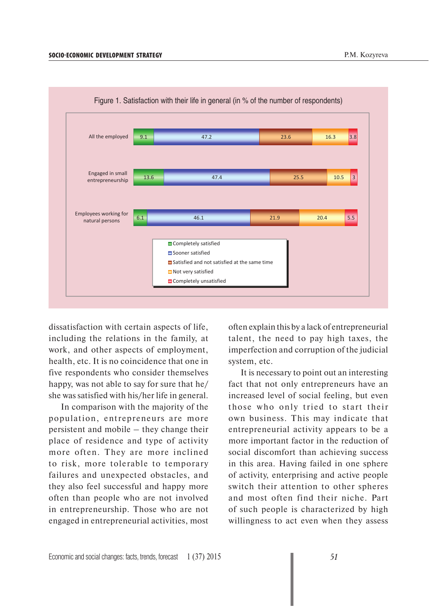

Figure 1. Satisfaction with their life in general (in % of the number of respondents)

dissatisfaction with certain aspects of life, including the relations in the family, at work, and other aspects of employment, health, etc. It is no coincidence that one in five respondents who consider themselves happy, was not able to say for sure that he/ she was satisfied with his/her life in general.

In comparison with the majority of the population, entrepreneurs are more persistent and mobile – they change their place of residence and type of activity more often. They are more inclined to risk, more tolerable to temporary failures and unexpected obstacles, and they also feel successful and happy more often than people who are not involved in entrepreneurship. Those who are not engaged in entrepreneurial activities, most often explain this by a lack of entrepreneurial talent, the need to pay high taxes, the imperfection and corruption of the judicial system, etc.

It is necessary to point out an interesting fact that not only entrepreneurs have an increased level of social feeling, but even those who only tried to start their own business. This may indicate that entrepreneurial activity appears to be a more important factor in the reduction of social discomfort than achieving success in this area. Having failed in one sphere of activity, enterprising and active people switch their attention to other spheres and most often find their niche. Part of such people is characterized by high willingness to act even when they assess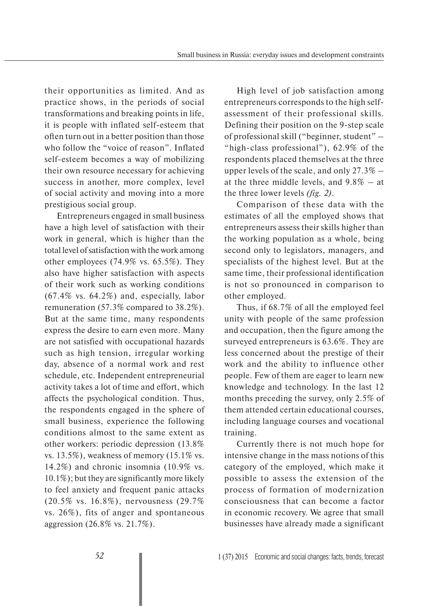their opportunities as limited. And as practice shows, in the periods of social transformations and breaking points in life, it is people with inflated self-esteem that often turn out in a better position than those who follow the "voice of reason". Inflated self-esteem becomes a way of mobilizing their own resource necessary for achieving success in another, more complex, level of social activity and moving into a more prestigious social group.

Entrepreneurs engaged in small business have a high level of satisfaction with their work in general, which is higher than the total level of satisfaction with the work among other employees (74.9% vs. 65.5%). They also have higher satisfaction with aspects of their work such as working conditions  $(67.4\% \text{ vs. } 64.2\%)$  and, especially, labor remuneration (57.3% compared to 38.2%). But at the same time, many respondents express the desire to earn even more. Many are not satisfied with occupational hazards such as high tension, irregular working day, absence of a normal work and rest schedule, etc. Independent entrepreneurial activity takes a lot of time and effort, which affects the psychological condition. Thus, the respondents engaged in the sphere of small business, experience the following conditions almost to the same extent as other workers: periodic depression (13.8% vs. 13.5%), weakness of memory  $(15.1\% \text{ vs.})$ 14.2%) and chronic insomnia (10.9% vs. 10.1%); but they are significantly more likely to feel anxiety and frequent panic attacks (20.5% vs. 16.8%), nervousness (29.7% vs. 26%), fits of anger and spontaneous aggression (26.8% vs. 21.7%).

High level of job satisfaction among entrepreneurs corresponds to the high selfassessment of their professional skills. Defining their position on the 9-step scale of professional skill ("beginner, student" – "high-class professional"), 62.9% of the respondents placed themselves at the three upper levels of the scale, and only  $27.3\%$  – at the three middle levels, and 9.8% – at the three lower levels *(fig. 2)*.

Comparison of these data with the estimates of all the employed shows that entrepreneurs assess their skills higher than the working population as a whole, being second only to legislators, managers, and specialists of the highest level. But at the same time, their professional identification is not so pronounced in comparison to other employed.

Thus, if 68.7% of all the employed feel unity with people of the same profession and occupation, then the figure among the surveyed entrepreneurs is 63.6%. They are less concerned about the prestige of their work and the ability to influence other people. Few of them are eager to learn new knowledge and technology. In the last 12 months preceding the survey, only 2.5% of them attended certain educational courses, including language courses and vocational training.

Currently there is not much hope for intensive change in the mass notions of this category of the employed, which make it possible to assess the extension of the process of formation of modernization consciousness that can become a factor in economic recovery. We agree that small businesses have already made a significant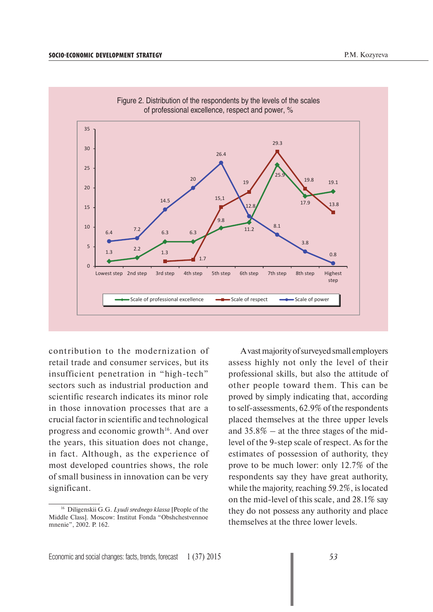

contribution to the modernization of retail trade and consumer services, but its insufficient penetration in "high-tech" sectors such as industrial production and scientific research indicates its minor role in those innovation processes that are a crucial factor in scientific and technological progress and economic growth<sup>16</sup>. And over the years, this situation does not change, in fact. Although, as the experience of most developed countries shows, the role of small business in innovation can be very significant.

A vast majority of surveyed small employers assess highly not only the level of their professional skills, but also the attitude of other people toward them. This can be proved by simply indicating that, according to self-assessments, 62.9% of the respondents placed themselves at the three upper levels and  $35.8\%$  – at the three stages of the midlevel of the 9-step scale of respect. As for the estimates of possession of authority, they prove to be much lower: only 12.7% of the respondents say they have great authority, while the majority, reaching 59.2%, is located on the mid-level of this scale, and 28.1% say they do not possess any authority and place themselves at the three lower levels.

<sup>16</sup> Diligenskii G.G. *Lyudi srednego klassa* [People of the Middle Class]. Moscow: Institut Fonda "Obshchestvennoe mnenie", 2002. P. 162.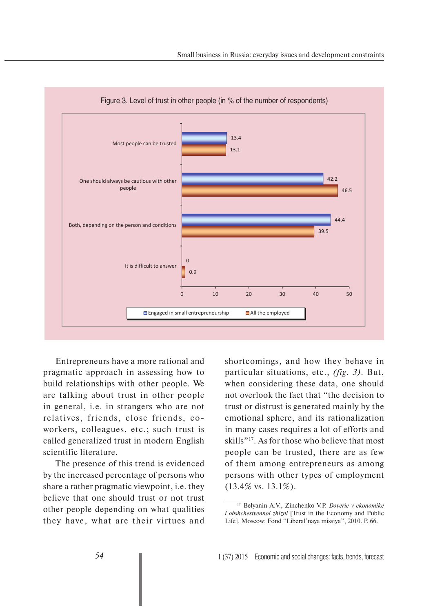

Entrepreneurs have a more rational and pragmatic approach in assessing how to build relationships with other people. We are talking about trust in other people in general, i.e. in strangers who are not relatives, friends, close friends, coworkers, colleagues, etc.; such trust is called generalized trust in modern English scientific literature.

The presence of this trend is evidenced by the increased percentage of persons who share a rather pragmatic viewpoint, i.e. they believe that one should trust or not trust other people depending on what qualities they have, what are their virtues and

shortcomings, and how they behave in particular situations, etc., *(fig. 3)*. But, when considering these data, one should not overlook the fact that "the decision to trust or distrust is generated mainly by the emotional sphere, and its rationalization in many cases requires a lot of efforts and skills"17. As for those who believe that most people can be trusted, there are as few of them among entrepreneurs as among persons with other types of employment (13.4% vs. 13.1%).

<sup>17</sup> Belyanin A.V., Zinchenko V.P. *Doverie v ekonomike i obshchestvennoi zhizni* [Trust in the Economy and Public Life]. Moscow: Fond "Liberal'naya missiya", 2010. P. 66.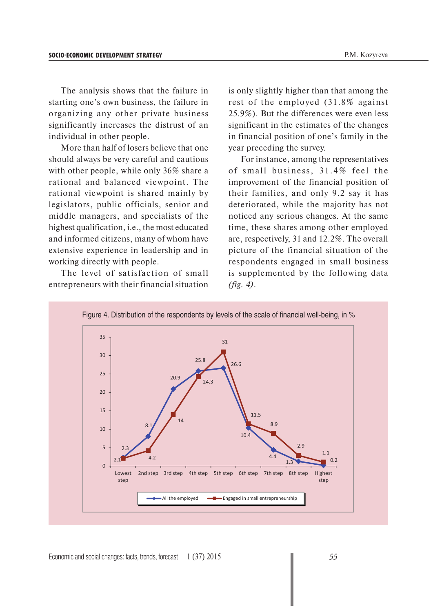The analysis shows that the failure in starting one's own business, the failure in organizing any other private business significantly increases the distrust of an individual in other people.

More than half of losers believe that one should always be very careful and cautious with other people, while only 36% share a rational and balanced viewpoint. The rational viewpoint is shared mainly by legislators, public officials, senior and middle managers, and specialists of the highest qualification, i.e., the most educated and informed citizens, many of whom have extensive experience in leadership and in working directly with people.

The level of satisfaction of small entrepreneurs with their financial situation is only slightly higher than that among the rest of the employed (31.8% against 25.9%). But the differences were even less significant in the estimates of the changes in financial position of one's family in the year preceding the survey.

For instance, among the representatives of small business,  $31.4\%$  feel the improvement of the financial position of their families, and only 9.2 say it has deteriorated, while the majority has not noticed any serious changes. At the same time, these shares among other employed are, respectively, 31 and 12.2%. The overall picture of the financial situation of the respondents engaged in small business is supplemented by the following data *(fig. 4)*.

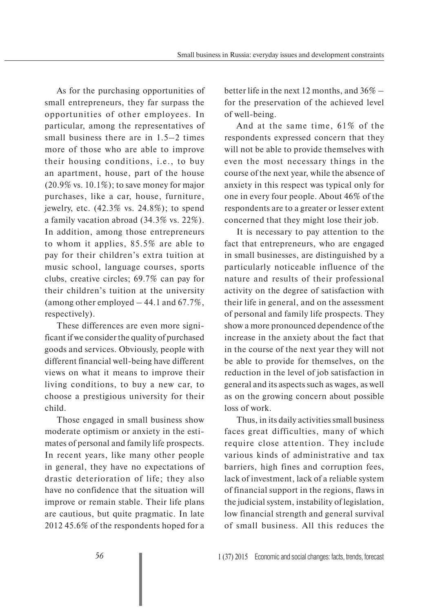As for the purchasing opportunities of small entrepreneurs, they far surpass the opportunities of other employees. In particular, among the representatives of small business there are in 1.5–2 times more of those who are able to improve their housing conditions, i.e., to buy an apartment, house, part of the house  $(20.9\% \text{ vs. } 10.1\%);$  to save money for major purchases, like a car, house, furniture, jewelry, etc. (42.3% vs. 24.8%); to spend a family vacation abroad (34.3% vs. 22%). In addition, among those entrepreneurs to whom it applies, 85.5% are able to pay for their children's extra tuition at music school, language courses, sports clubs, creative circles; 69.7% can pay for their children's tuition at the university (among other employed  $-44.1$  and  $67.7\%$ , respectively).

These differences are even more significant if we consider the quality of purchased goods and services. Obviously, people with different financial well-being have different views on what it means to improve their living conditions, to buy a new car, to choose a prestigious university for their child.

Those engaged in small business show moderate optimism or anxiety in the estimates of personal and family life prospects. In recent years, like many other people in general, they have no expectations of drastic deterioration of life; they also have no confidence that the situation will improve or remain stable. Their life plans are cautious, but quite pragmatic. In late 2012 45.6% of the respondents hoped for a

better life in the next 12 months, and 36% – for the preservation of the achieved level of well-being.

And at the same time, 61% of the respondents expressed concern that they will not be able to provide themselves with even the most necessary things in the course of the next year, while the absence of anxiety in this respect was typical only for one in every four people. About 46% of the respondents are to a greater or lesser extent concerned that they might lose their job.

It is necessary to pay attention to the fact that entrepreneurs, who are engaged in small businesses, are distinguished by a particularly noticeable influence of the nature and results of their professional activity on the degree of satisfaction with their life in general, and on the assessment of personal and family life prospects. They show a more pronounced dependence of the increase in the anxiety about the fact that in the course of the next year they will not be able to provide for themselves, on the reduction in the level of job satisfaction in general and its aspects such as wages, as well as on the growing concern about possible loss of work.

Thus, in its daily activities small business faces great difficulties, many of which require close attention. They include various kinds of administrative and tax barriers, high fines and corruption fees, lack of investment, lack of a reliable system of financial support in the regions, flaws in the judicial system, instability of legislation, low financial strength and general survival of small business. All this reduces the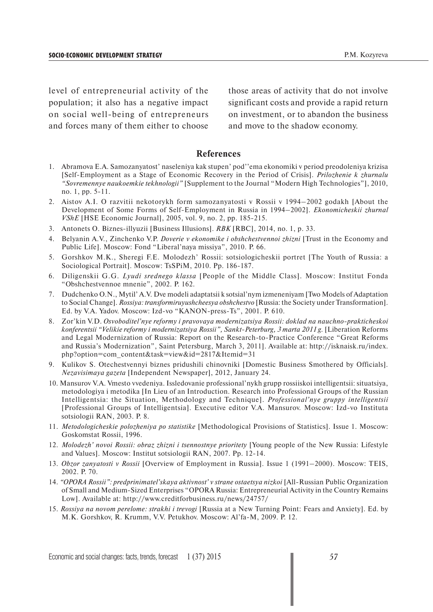level of entrepreneurial activity of the population; it also has a negative impact on social well-being of entrepreneurs and forces many of them either to choose those areas of activity that do not involve significant costs and provide a rapid return on investment, or to abandon the business and move to the shadow economy.

## **References**

- 1. Abramova E.A. Samozanyatost' naseleniya kak stupen' pod''ema ekonomiki v period preodoleniya krizisa [Self-Employment as a Stage of Economic Recovery in the Period of Crisis]. *Prilozhenie k zhurnalu "Sovremennye naukoemkie tekhnologii"* [Supplement to the Journal "Modern High Technologies"], 2010, no. 1, pp. 5-11.
- 2. Aistov A.I. O razvitii nekotorykh form samozanyatosti v Rossii v 1994–2002 godakh [About the Development of Some Forms of Self-Employment in Russia in 1994–2002]. *Ekonomicheskii zhurnal VShE* [HSE Economic Journal], 2005, vol. 9, no. 2, pp. 185-215.
- 3. Antonets O. Biznes-illyuzii [Business Illusions]. *RBK* [RBC], 2014, no. 1, p. 33.
- 4. Belyanin A.V., Zinchenko V.P. *Doverie v ekonomike i obshchestvennoi zhizni* [Trust in the Economy and Public Life]. Moscow: Fond "Liberal'naya missiya", 2010. P. 66.
- 5. Gorshkov M.K., Sheregi F.E. Molodezh' Rossii: sotsiologicheskii portret [The Youth of Russia: a Sociological Portrait]. Moscow: TsSPiM, 2010. Pp. 186-187.
- 6. Diligenskii G.G. *Lyudi srednego klassa* [People of the Middle Class]. Moscow: Institut Fonda "Obshchestvennoe mnenie", 2002. P. 162.
- 7. Dudchenko O.N., Mytil' A.V. Dve modeli adaptatsii k sotsial'nym izmeneniyam [Two Models of Adaptation to Social Change]. *Rossiya: transformiruyushcheesya obshchestvo* [Russia: the Society under Transformation]. Ed. by V.A. Yadov. Moscow: Izd-vo "KANON-press-Ts", 2001. P. 610.
- 8. Zor'kin V.D. *Osvoboditel'nye reformy i pravovaya modernizatsiya Rossii: doklad na nauchno-prakticheskoi konferentsii "Velikie reformy i modernizatsiya Rossii", Sankt-Peterburg, 3 marta 2011 g.* [Liberation Reforms and Legal Modernization of Russia: Report on the Research-to-Practice Conference "Great Reforms and Russia's Modernization", Saint Petersburg, March 3, 2011]. Available at: http://isknaisk.ru/index. php?option=com\_content&task=view&id=2817&Itemid=31
- 9. Kulikov S. Otechestvennyi biznes pridushili chinovniki [Domestic Business Smothered by Officials]. *Nezavisimaya gazeta* [Independent Newspaper], 2012, January 24.
- 10. Mansurov V.A. Vmesto vvedeniya. Issledovanie professional'nykh grupp rossiiskoi intelligentsii: situatsiya, metodologiya i metodika [In Lieu of an Introduction. Research into Professional Groups of the Russian Intelligentsia: the Situation, Methodology and Technique]. *Professional'nye gruppy intelligentsii* [Professional Groups of Intelligentsia]. Executive editor V.A. Mansurov. Moscow: Izd-vo Instituta sotsiologii RAN, 2003. P. 8.
- 11. *Metodologicheskie polozheniya po statistike* [Methodological Provisions of Statistics]. Issue 1. Moscow: Goskomstat Rossii, 1996.
- 12. *Molodezh' novoi Rossii: obraz zhizni i tsennostnye prioritety* [Young people of the New Russia: Lifestyle and Values]. Moscow: Institut sotsiologii RAN, 2007. Pp. 12-14.
- 13. *Obzor zanyatosti v Rossii* [Overview of Employment in Russia]. Issue 1 (1991–2000). Moscow: TEIS, 2002. P. 70.
- 14. *"OPORA Rossii": predprinimatel'skaya aktivnost' v strane ostaetsya nizkoi* [All-Russian Public Organization of Small and Medium-Sized Enterprises "OPORA Russia: Entrepreneurial Activity in the Country Remains Low]. Available at: http://www.creditforbusiness.ru/news/24757/
- 15. *Rossiya na novom perelome: strakhi i trevogi* [Russia at a New Turning Point: Fears and Anxiety]. Ed. by M.K. Gorshkov, R. Krumm, V.V. Petukhov. Moscow: Al'fa-M, 2009. P. 12.